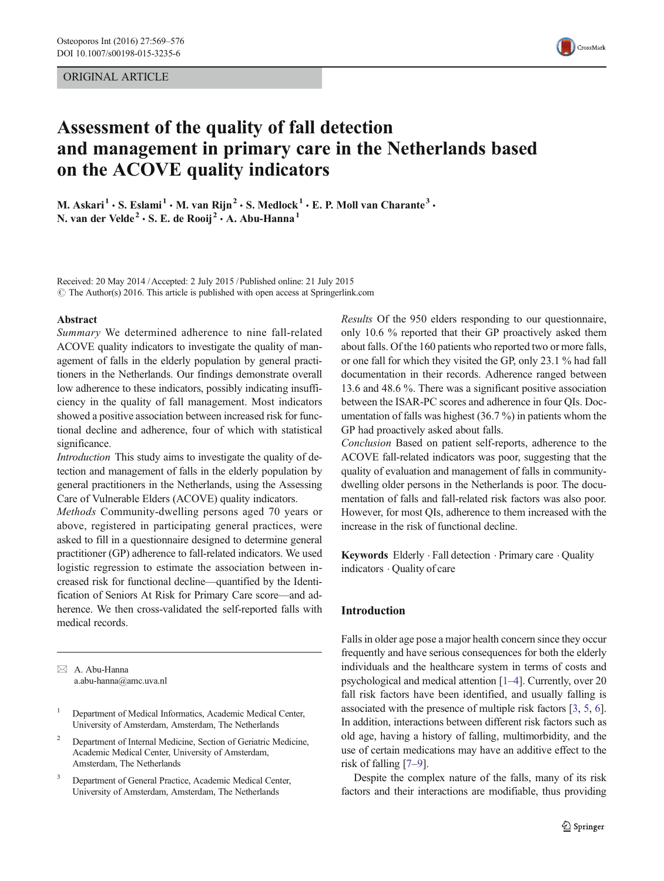## ORIGINAL ARTICLE



# Assessment of the quality of fall detection and management in primary care in the Netherlands based on the ACOVE quality indicators

M. Askari<sup>1</sup> · S. Eslami<sup>1</sup> · M. van Rijn<sup>2</sup> · S. Medlock<sup>1</sup> · E. P. Moll van Charante<sup>3</sup> · N. van der Velde<sup>2</sup> · S. E. de Rooij<sup>2</sup> · A. Abu-Hanna<sup>1</sup>

Received: 20 May 2014 /Accepted: 2 July 2015 / Published online: 21 July 2015  $\odot$  The Author(s) 2016. This article is published with open access at Springerlink.com

#### Abstract

Summary We determined adherence to nine fall-related ACOVE quality indicators to investigate the quality of management of falls in the elderly population by general practitioners in the Netherlands. Our findings demonstrate overall low adherence to these indicators, possibly indicating insufficiency in the quality of fall management. Most indicators showed a positive association between increased risk for functional decline and adherence, four of which with statistical significance.

Introduction This study aims to investigate the quality of detection and management of falls in the elderly population by general practitioners in the Netherlands, using the Assessing Care of Vulnerable Elders (ACOVE) quality indicators.

Methods Community-dwelling persons aged 70 years or above, registered in participating general practices, were asked to fill in a questionnaire designed to determine general practitioner (GP) adherence to fall-related indicators. We used logistic regression to estimate the association between increased risk for functional decline—quantified by the Identification of Seniors At Risk for Primary Care score—and adherence. We then cross-validated the self-reported falls with medical records.

 $\boxtimes$  A. Abu-Hanna a.abu-hanna@amc.uva.nl

- <sup>2</sup> Department of Internal Medicine, Section of Geriatric Medicine, Academic Medical Center, University of Amsterdam, Amsterdam, The Netherlands
- <sup>3</sup> Department of General Practice, Academic Medical Center, University of Amsterdam, Amsterdam, The Netherlands

Results Of the 950 elders responding to our questionnaire, only 10.6 % reported that their GP proactively asked them about falls. Of the 160 patients who reported two or more falls, or one fall for which they visited the GP, only 23.1 % had fall documentation in their records. Adherence ranged between 13.6 and 48.6 %. There was a significant positive association between the ISAR-PC scores and adherence in four QIs. Documentation of falls was highest (36.7 %) in patients whom the GP had proactively asked about falls.

Conclusion Based on patient self-reports, adherence to the ACOVE fall-related indicators was poor, suggesting that the quality of evaluation and management of falls in communitydwelling older persons in the Netherlands is poor. The documentation of falls and fall-related risk factors was also poor. However, for most QIs, adherence to them increased with the increase in the risk of functional decline.

Keywords Elderly . Fall detection . Primary care . Quality indicators . Quality of care

## Introduction

Falls in older age pose a major health concern since they occur frequently and have serious consequences for both the elderly individuals and the healthcare system in terms of costs and psychological and medical attention [\[1](#page-6-0)–[4\]](#page-6-0). Currently, over 20 fall risk factors have been identified, and usually falling is associated with the presence of multiple risk factors [[3,](#page-6-0) [5,](#page-6-0) [6\]](#page-6-0). In addition, interactions between different risk factors such as old age, having a history of falling, multimorbidity, and the use of certain medications may have an additive effect to the risk of falling [[7](#page-6-0)–[9](#page-6-0)].

Despite the complex nature of the falls, many of its risk factors and their interactions are modifiable, thus providing

<sup>&</sup>lt;sup>1</sup> Department of Medical Informatics, Academic Medical Center, University of Amsterdam, Amsterdam, The Netherlands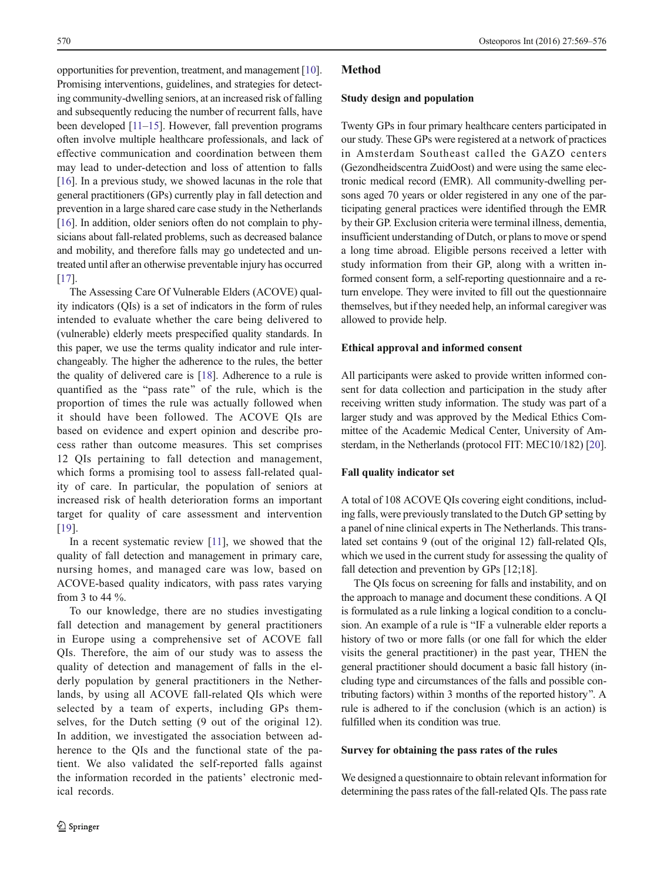opportunities for prevention, treatment, and management [[10\]](#page-6-0). Promising interventions, guidelines, and strategies for detecting community-dwelling seniors, at an increased risk of falling and subsequently reducing the number of recurrent falls, have been developed [[11](#page-6-0)–[15\]](#page-7-0). However, fall prevention programs often involve multiple healthcare professionals, and lack of effective communication and coordination between them may lead to under-detection and loss of attention to falls [\[16\]](#page-7-0). In a previous study, we showed lacunas in the role that general practitioners (GPs) currently play in fall detection and prevention in a large shared care case study in the Netherlands [\[16\]](#page-7-0). In addition, older seniors often do not complain to physicians about fall-related problems, such as decreased balance and mobility, and therefore falls may go undetected and untreated until after an otherwise preventable injury has occurred [\[17\]](#page-7-0).

The Assessing Care Of Vulnerable Elders (ACOVE) quality indicators (QIs) is a set of indicators in the form of rules intended to evaluate whether the care being delivered to (vulnerable) elderly meets prespecified quality standards. In this paper, we use the terms quality indicator and rule interchangeably. The higher the adherence to the rules, the better the quality of delivered care is [[18](#page-7-0)]. Adherence to a rule is quantified as the "pass rate" of the rule, which is the proportion of times the rule was actually followed when it should have been followed. The ACOVE QIs are based on evidence and expert opinion and describe process rather than outcome measures. This set comprises 12 QIs pertaining to fall detection and management, which forms a promising tool to assess fall-related quality of care. In particular, the population of seniors at increased risk of health deterioration forms an important target for quality of care assessment and intervention [\[19\]](#page-7-0).

In a recent systematic review [[11](#page-6-0)], we showed that the quality of fall detection and management in primary care, nursing homes, and managed care was low, based on ACOVE-based quality indicators, with pass rates varying from 3 to 44 %.

To our knowledge, there are no studies investigating fall detection and management by general practitioners in Europe using a comprehensive set of ACOVE fall QIs. Therefore, the aim of our study was to assess the quality of detection and management of falls in the elderly population by general practitioners in the Netherlands, by using all ACOVE fall-related QIs which were selected by a team of experts, including GPs themselves, for the Dutch setting (9 out of the original 12). In addition, we investigated the association between adherence to the QIs and the functional state of the patient. We also validated the self-reported falls against the information recorded in the patients' electronic medical records.

## Method

#### Study design and population

Twenty GPs in four primary healthcare centers participated in our study. These GPs were registered at a network of practices in Amsterdam Southeast called the GAZO centers (Gezondheidscentra ZuidOost) and were using the same electronic medical record (EMR). All community-dwelling persons aged 70 years or older registered in any one of the participating general practices were identified through the EMR by their GP. Exclusion criteria were terminal illness, dementia, insufficient understanding of Dutch, or plans to move or spend a long time abroad. Eligible persons received a letter with study information from their GP, along with a written informed consent form, a self-reporting questionnaire and a return envelope. They were invited to fill out the questionnaire themselves, but if they needed help, an informal caregiver was allowed to provide help.

## Ethical approval and informed consent

All participants were asked to provide written informed consent for data collection and participation in the study after receiving written study information. The study was part of a larger study and was approved by the Medical Ethics Committee of the Academic Medical Center, University of Amsterdam, in the Netherlands (protocol FIT: MEC10/182) [[20\]](#page-7-0).

# Fall quality indicator set

A total of 108 ACOVE QIs covering eight conditions, including falls, were previously translated to the Dutch GP setting by a panel of nine clinical experts in The Netherlands. This translated set contains 9 (out of the original 12) fall-related QIs, which we used in the current study for assessing the quality of fall detection and prevention by GPs [12;18].

The QIs focus on screening for falls and instability, and on the approach to manage and document these conditions. A QI is formulated as a rule linking a logical condition to a conclusion. An example of a rule is "IF a vulnerable elder reports a history of two or more falls (or one fall for which the elder visits the general practitioner) in the past year, THEN the general practitioner should document a basic fall history (including type and circumstances of the falls and possible contributing factors) within 3 months of the reported history^. A rule is adhered to if the conclusion (which is an action) is fulfilled when its condition was true.

## Survey for obtaining the pass rates of the rules

We designed a questionnaire to obtain relevant information for determining the pass rates of the fall-related QIs. The pass rate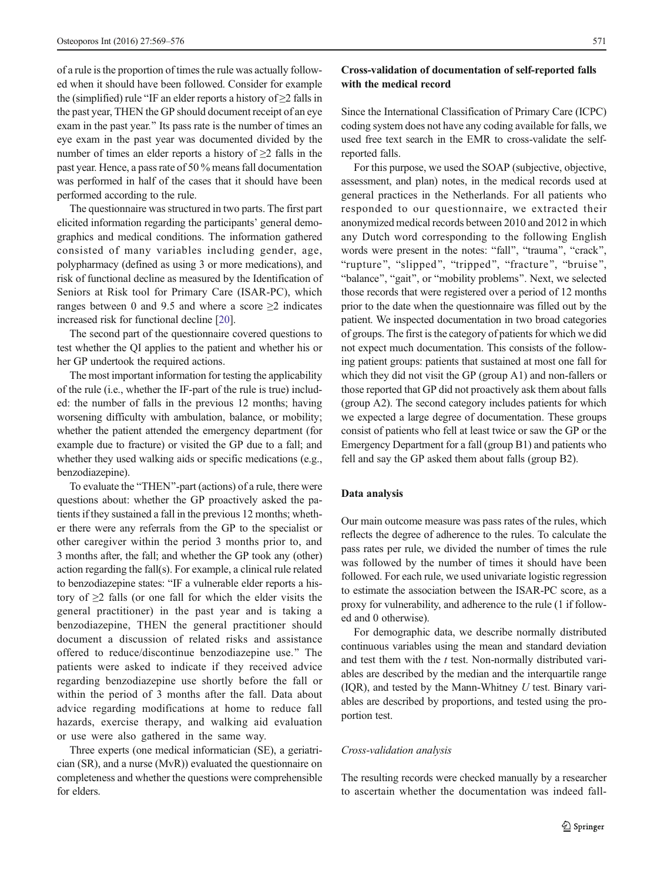of a rule is the proportion of times the rule was actually followed when it should have been followed. Consider for example the (simplified) rule "IF an elder reports a history of  $\geq$  falls in the past year, THEN the GP should document receipt of an eye exam in the past year." Its pass rate is the number of times an eye exam in the past year was documented divided by the number of times an elder reports a history of  $\geq 2$  falls in the past year. Hence, a pass rate of 50 % means fall documentation was performed in half of the cases that it should have been performed according to the rule.

The questionnaire was structured in two parts. The first part elicited information regarding the participants' general demographics and medical conditions. The information gathered consisted of many variables including gender, age, polypharmacy (defined as using 3 or more medications), and risk of functional decline as measured by the Identification of Seniors at Risk tool for Primary Care (ISAR-PC), which ranges between 0 and 9.5 and where a score  $\geq$  2 indicates increased risk for functional decline [\[20](#page-7-0)].

The second part of the questionnaire covered questions to test whether the QI applies to the patient and whether his or her GP undertook the required actions.

The most important information for testing the applicability of the rule (i.e., whether the IF-part of the rule is true) included: the number of falls in the previous 12 months; having worsening difficulty with ambulation, balance, or mobility; whether the patient attended the emergency department (for example due to fracture) or visited the GP due to a fall; and whether they used walking aids or specific medications (e.g., benzodiazepine).

To evaluate the "THEN"-part (actions) of a rule, there were questions about: whether the GP proactively asked the patients if they sustained a fall in the previous 12 months; whether there were any referrals from the GP to the specialist or other caregiver within the period 3 months prior to, and 3 months after, the fall; and whether the GP took any (other) action regarding the fall(s). For example, a clinical rule related to benzodiazepine states: "IF a vulnerable elder reports a history of  $\geq$ 2 falls (or one fall for which the elder visits the general practitioner) in the past year and is taking a benzodiazepine, THEN the general practitioner should document a discussion of related risks and assistance offered to reduce/discontinue benzodiazepine use.^ The patients were asked to indicate if they received advice regarding benzodiazepine use shortly before the fall or within the period of 3 months after the fall. Data about advice regarding modifications at home to reduce fall hazards, exercise therapy, and walking aid evaluation or use were also gathered in the same way.

Three experts (one medical informatician (SE), a geriatrician (SR), and a nurse (MvR)) evaluated the questionnaire on completeness and whether the questions were comprehensible for elders.

# Cross-validation of documentation of self-reported falls with the medical record

Since the International Classification of Primary Care (ICPC) coding system does not have any coding available for falls, we used free text search in the EMR to cross-validate the selfreported falls.

For this purpose, we used the SOAP (subjective, objective, assessment, and plan) notes, in the medical records used at general practices in the Netherlands. For all patients who responded to our questionnaire, we extracted their anonymized medical records between 2010 and 2012 in which any Dutch word corresponding to the following English words were present in the notes: "fall", "trauma", "crack", "rupture", "slipped", "tripped", "fracture", "bruise", "balance", "gait", or "mobility problems". Next, we selected those records that were registered over a period of 12 months prior to the date when the questionnaire was filled out by the patient. We inspected documentation in two broad categories of groups. The first is the category of patients for which we did not expect much documentation. This consists of the following patient groups: patients that sustained at most one fall for which they did not visit the GP (group A1) and non-fallers or those reported that GP did not proactively ask them about falls (group A2). The second category includes patients for which we expected a large degree of documentation. These groups consist of patients who fell at least twice or saw the GP or the Emergency Department for a fall (group B1) and patients who fell and say the GP asked them about falls (group B2).

#### Data analysis

Our main outcome measure was pass rates of the rules, which reflects the degree of adherence to the rules. To calculate the pass rates per rule, we divided the number of times the rule was followed by the number of times it should have been followed. For each rule, we used univariate logistic regression to estimate the association between the ISAR-PC score, as a proxy for vulnerability, and adherence to the rule (1 if followed and 0 otherwise).

For demographic data, we describe normally distributed continuous variables using the mean and standard deviation and test them with the  $t$  test. Non-normally distributed variables are described by the median and the interquartile range  $(IOR)$ , and tested by the Mann-Whitney U test. Binary variables are described by proportions, and tested using the proportion test.

# Cross-validation analysis

The resulting records were checked manually by a researcher to ascertain whether the documentation was indeed fall-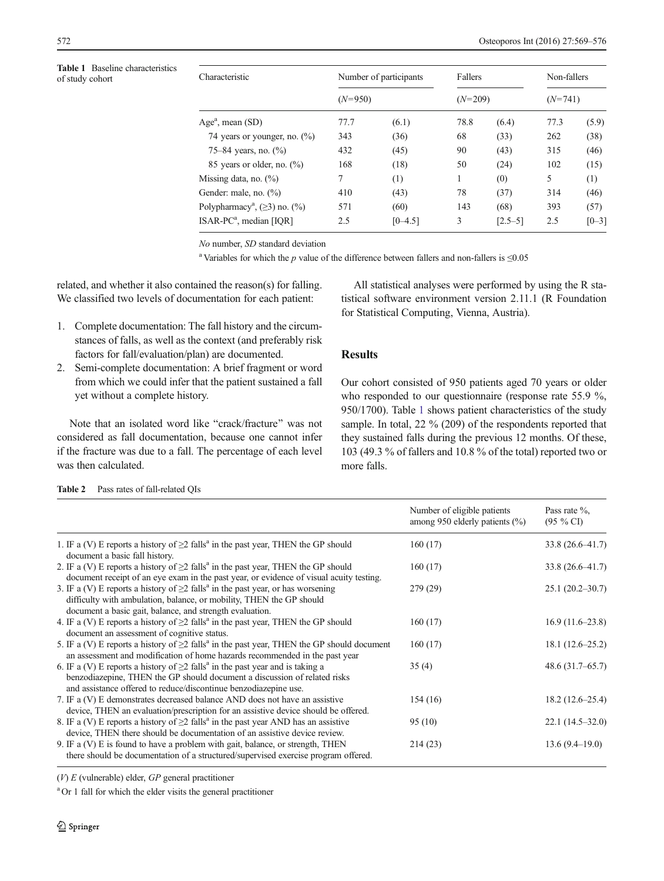<span id="page-3-0"></span>Table 1 Baseline characteristics<br>of study cohort

| <b>Table 1</b> Baseline characteristics<br>of study cohort | Characteristic<br>Age <sup>a</sup> , mean $(SD)$   | Number of participants<br>$(N=950)$ |                                 | Fallers<br>$(N=209)$ |             | Non-fallers<br>$(N=741)$ |           |
|------------------------------------------------------------|----------------------------------------------------|-------------------------------------|---------------------------------|----------------------|-------------|--------------------------|-----------|
|                                                            |                                                    |                                     |                                 |                      |             |                          |           |
|                                                            |                                                    |                                     | 74 years or younger, no. $(\%)$ | 343                  | (36)        | 68                       | (33)      |
|                                                            | 75–84 years, no. $(\% )$                           | 432                                 | (45)                            | 90                   | (43)        | 315                      | (46)      |
|                                                            | 85 years or older, no. $(\%)$                      | 168                                 | (18)                            | 50                   | (24)        | 102                      | (15)      |
|                                                            | Missing data, no. $(\%)$                           | $\mathcal{I}$                       | (1)                             |                      | (0)         | 5.                       | (1)       |
|                                                            | Gender: male, no. $(\%)$                           | 410                                 | (43)                            | 78                   | (37)        | 314                      | (46)      |
|                                                            | Polypharmacy <sup>a</sup> , $(\geq 3)$ no. $(\% )$ | 571                                 | (60)                            | 143                  | (68)        | 393                      | (57)      |
|                                                            | $ISAR-PCa$ , median [IOR]                          | 2.5                                 | $[0 - 4.5]$                     | 3                    | $[2.5 - 5]$ | 2.5                      | $[0 - 3]$ |
|                                                            |                                                    |                                     |                                 |                      |             |                          |           |

No number, SD standard deviation

<sup>a</sup> Variables for which the p value of the difference between fallers and non-fallers is  $\leq 0.05$ 

related, and whether it also contained the reason(s) for falling. We classified two levels of documentation for each patient:

- 1. Complete documentation: The fall history and the circumstances of falls, as well as the context (and preferably risk factors for fall/evaluation/plan) are documented.
- 2. Semi-complete documentation: A brief fragment or word from which we could infer that the patient sustained a fall yet without a complete history.

Note that an isolated word like "crack/fracture" was not considered as fall documentation, because one cannot infer if the fracture was due to a fall. The percentage of each level was then calculated.

All statistical analyses were performed by using the R statistical software environment version 2.11.1 (R Foundation for Statistical Computing, Vienna, Austria).

# Results

Our cohort consisted of 950 patients aged 70 years or older who responded to our questionnaire (response rate 55.9 %, 950/1700). Table 1 shows patient characteristics of the study sample. In total, 22 % (209) of the respondents reported that they sustained falls during the previous 12 months. Of these, 103 (49.3 % of fallers and 10.8 % of the total) reported two or more falls.

|                                                                                                                                                                                                                                                  | Number of eligible patients<br>among 950 elderly patients $(\% )$ | Pass rate $\%$ ,<br>$(95 \%$ CI |
|--------------------------------------------------------------------------------------------------------------------------------------------------------------------------------------------------------------------------------------------------|-------------------------------------------------------------------|---------------------------------|
| 1. IF a (V) E reports a history of $\geq$ 2 falls <sup>a</sup> in the past year, THEN the GP should<br>document a basic fall history.                                                                                                            | 160(17)                                                           | $33.8(26.6 - 41.7)$             |
| 2. IF a (V) E reports a history of $\geq$ 2 falls <sup>a</sup> in the past year, THEN the GP should<br>document receipt of an eye exam in the past year, or evidence of visual acuity testing.                                                   | 160(17)                                                           | $33.8(26.6 - 41.7)$             |
| 3. IF a (V) E reports a history of $\geq$ 2 falls <sup>a</sup> in the past year, or has worsening<br>difficulty with ambulation, balance, or mobility, THEN the GP should<br>document a basic gait, balance, and strength evaluation.            | 279 (29)                                                          | $25.1(20.2 - 30.7)$             |
| 4. IF a (V) E reports a history of $\geq$ falls <sup>a</sup> in the past year, THEN the GP should<br>document an assessment of cognitive status.                                                                                                 | 160(17)                                                           | $16.9(11.6-23.8)$               |
| 5. IF a (V) E reports a history of $\geq$ 2 falls <sup>a</sup> in the past year, THEN the GP should document<br>an assessment and modification of home hazards recommended in the past year                                                      | 160(17)                                                           | $18.1(12.6-25.2)$               |
| 6. IF a (V) E reports a history of $\geq$ 2 falls <sup>a</sup> in the past year and is taking a<br>benzodiazepine, THEN the GP should document a discussion of related risks<br>and assistance offered to reduce/discontinue benzodiazepine use. | 35(4)                                                             | 48.6(31.7–65.7)                 |
| 7. IF a (V) E demonstrates decreased balance AND does not have an assistive<br>device, THEN an evaluation/prescription for an assistive device should be offered.                                                                                | 154(16)                                                           | $18.2(12.6-25.4)$               |
| 8. IF a (V) E reports a history of $\geq$ falls <sup>a</sup> in the past year AND has an assistive<br>device, THEN there should be documentation of an assistive device review.                                                                  | 95(10)                                                            | $22.1(14.5-32.0)$               |
| 9. IF a (V) E is found to have a problem with gait, balance, or strength, THEN<br>there should be documentation of a structured/supervised exercise program offered.                                                                             | 214(23)                                                           | $13.6(9.4-19.0)$                |

Table 2 Pass rates of fall-related QIs

 $(V) E$  (vulnerable) elder,  $GP$  general practitioner

<sup>a</sup> Or 1 fall for which the elder visits the general practitioner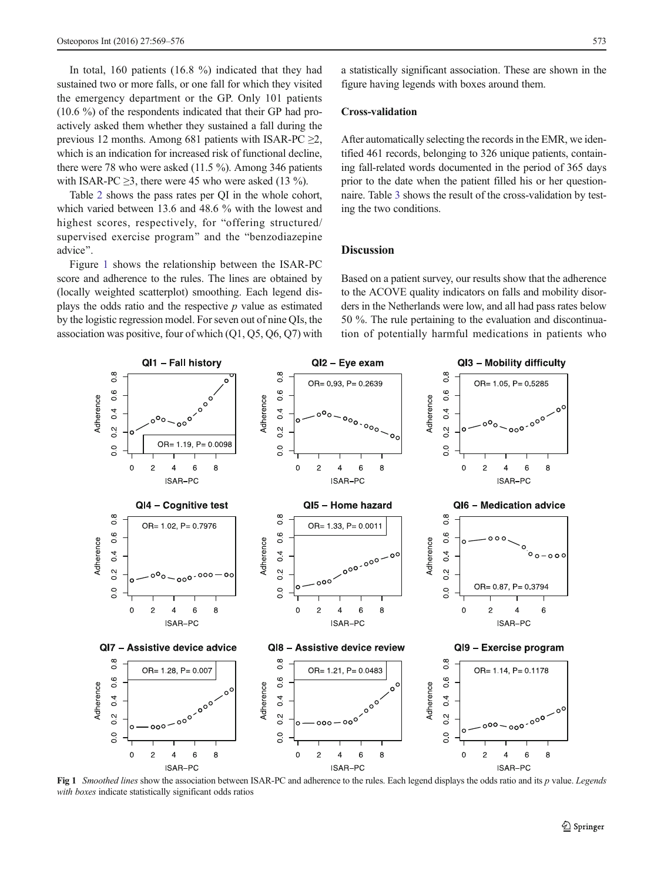In total, 160 patients (16.8 %) indicated that they had sustained two or more falls, or one fall for which they visited the emergency department or the GP. Only 101 patients (10.6 %) of the respondents indicated that their GP had proactively asked them whether they sustained a fall during the previous 12 months. Among 681 patients with ISAR-PC  $\geq$ 2, which is an indication for increased risk of functional decline, there were 78 who were asked (11.5 %). Among 346 patients with ISAR-PC  $\geq$ 3, there were 45 who were asked (13 %).

Table [2](#page-3-0) shows the pass rates per QI in the whole cohort, which varied between 13.6 and 48.6 % with the lowest and highest scores, respectively, for "offering structured/ supervised exercise program" and the "benzodiazepine advice".

Figure 1 shows the relationship between the ISAR-PC score and adherence to the rules. The lines are obtained by (locally weighted scatterplot) smoothing. Each legend displays the odds ratio and the respective  $p$  value as estimated by the logistic regression model. For seven out of nine QIs, the association was positive, four of which (Q1, Q5, Q6, Q7) with a statistically significant association. These are shown in the figure having legends with boxes around them.

## Cross-validation

After automatically selecting the records in the EMR, we identified 461 records, belonging to 326 unique patients, containing fall-related words documented in the period of 365 days prior to the date when the patient filled his or her questionnaire. Table [3](#page-5-0) shows the result of the cross-validation by testing the two conditions.

# **Discussion**

Based on a patient survey, our results show that the adherence to the ACOVE quality indicators on falls and mobility disorders in the Netherlands were low, and all had pass rates below 50 %. The rule pertaining to the evaluation and discontinuation of potentially harmful medications in patients who



Fig 1 Smoothed lines show the association between ISAR-PC and adherence to the rules. Each legend displays the odds ratio and its p value. Legends with boxes indicate statistically significant odds ratios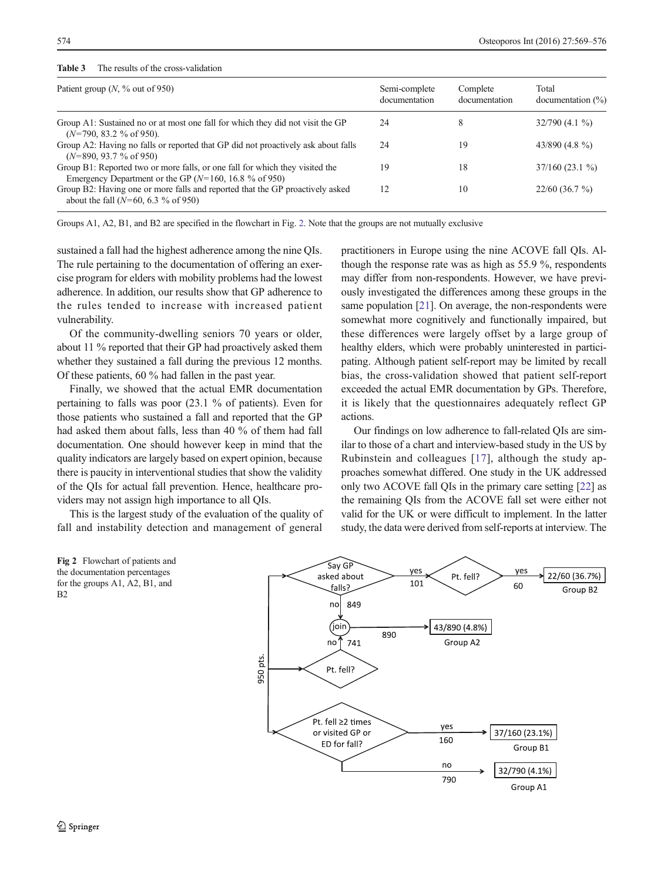# <span id="page-5-0"></span>Table 3 The results of the cross-validation

| Patient group $(N, \%)$ out of 950)                                                                                                       | Semi-complete<br>documentation | Complete<br>documentation | Total<br>documentation $(\% )$ |  |
|-------------------------------------------------------------------------------------------------------------------------------------------|--------------------------------|---------------------------|--------------------------------|--|
| Group A1: Sustained no or at most one fall for which they did not visit the GP<br>$(N=790, 83.2 % of 950).$                               | 24                             | 8                         | $32/790(4.1\%)$                |  |
| Group A2: Having no falls or reported that GP did not proactively ask about falls<br>$(N=890, 93.7 %$ of 950)                             | 24                             | 19                        | 43/890 $(4.8\%$                |  |
| Group B1: Reported two or more falls, or one fall for which they visited the<br>Emergency Department or the GP ( $N=160$ , 16.8 % of 950) | 19                             | 18                        | $37/160(23.1\%)$               |  |
| Group B2: Having one or more falls and reported that the GP proactively asked<br>about the fall ( $N=60, 6.3$ % of 950)                   | 12                             | 10                        | $22/60(36.7\%)$                |  |

Groups A1, A2, B1, and B2 are specified in the flowchart in Fig. 2. Note that the groups are not mutually exclusive

sustained a fall had the highest adherence among the nine QIs. The rule pertaining to the documentation of offering an exercise program for elders with mobility problems had the lowest adherence. In addition, our results show that GP adherence to the rules tended to increase with increased patient vulnerability.

Of the community-dwelling seniors 70 years or older, about 11 % reported that their GP had proactively asked them whether they sustained a fall during the previous 12 months. Of these patients, 60 % had fallen in the past year.

Finally, we showed that the actual EMR documentation pertaining to falls was poor (23.1 % of patients). Even for those patients who sustained a fall and reported that the GP had asked them about falls, less than 40 % of them had fall documentation. One should however keep in mind that the quality indicators are largely based on expert opinion, because there is paucity in interventional studies that show the validity of the QIs for actual fall prevention. Hence, healthcare providers may not assign high importance to all QIs.

This is the largest study of the evaluation of the quality of fall and instability detection and management of general practitioners in Europe using the nine ACOVE fall QIs. Although the response rate was as high as 55.9 %, respondents may differ from non-respondents. However, we have previously investigated the differences among these groups in the same population [\[21\]](#page-7-0). On average, the non-respondents were somewhat more cognitively and functionally impaired, but these differences were largely offset by a large group of healthy elders, which were probably uninterested in participating. Although patient self-report may be limited by recall bias, the cross-validation showed that patient self-report exceeded the actual EMR documentation by GPs. Therefore, it is likely that the questionnaires adequately reflect GP actions.

Our findings on low adherence to fall-related QIs are similar to those of a chart and interview-based study in the US by Rubinstein and colleagues [[17\]](#page-7-0), although the study approaches somewhat differed. One study in the UK addressed only two ACOVE fall QIs in the primary care setting [\[22](#page-7-0)] as the remaining QIs from the ACOVE fall set were either not valid for the UK or were difficult to implement. In the latter study, the data were derived from self-reports at interview. The

Fig 2 Flowchart of patients and the documentation percentages for the groups A1, A2, B1, and  $B<sub>2</sub>$ 

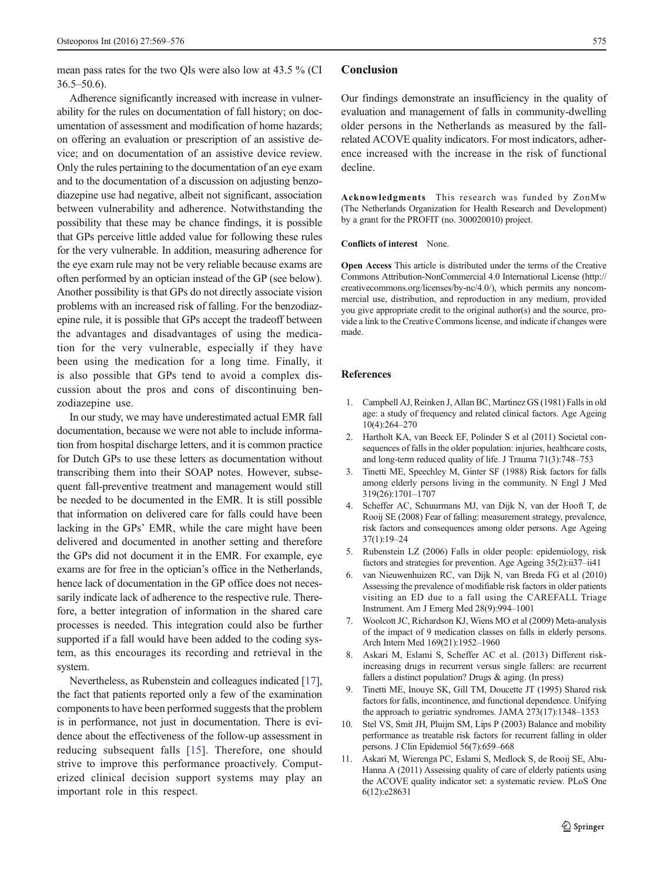<span id="page-6-0"></span>mean pass rates for the two QIs were also low at 43.5 % (CI 36.5–50.6).

Adherence significantly increased with increase in vulnerability for the rules on documentation of fall history; on documentation of assessment and modification of home hazards; on offering an evaluation or prescription of an assistive device; and on documentation of an assistive device review. Only the rules pertaining to the documentation of an eye exam and to the documentation of a discussion on adjusting benzodiazepine use had negative, albeit not significant, association between vulnerability and adherence. Notwithstanding the possibility that these may be chance findings, it is possible that GPs perceive little added value for following these rules for the very vulnerable. In addition, measuring adherence for the eye exam rule may not be very reliable because exams are often performed by an optician instead of the GP (see below). Another possibility is that GPs do not directly associate vision problems with an increased risk of falling. For the benzodiazepine rule, it is possible that GPs accept the tradeoff between the advantages and disadvantages of using the medication for the very vulnerable, especially if they have been using the medication for a long time. Finally, it is also possible that GPs tend to avoid a complex discussion about the pros and cons of discontinuing benzodiazepine use.

In our study, we may have underestimated actual EMR fall documentation, because we were not able to include information from hospital discharge letters, and it is common practice for Dutch GPs to use these letters as documentation without transcribing them into their SOAP notes. However, subsequent fall-preventive treatment and management would still be needed to be documented in the EMR. It is still possible that information on delivered care for falls could have been lacking in the GPs' EMR, while the care might have been delivered and documented in another setting and therefore the GPs did not document it in the EMR. For example, eye exams are for free in the optician's office in the Netherlands, hence lack of documentation in the GP office does not necessarily indicate lack of adherence to the respective rule. Therefore, a better integration of information in the shared care processes is needed. This integration could also be further supported if a fall would have been added to the coding system, as this encourages its recording and retrieval in the system.

Nevertheless, as Rubenstein and colleagues indicated [[17\]](#page-7-0), the fact that patients reported only a few of the examination components to have been performed suggests that the problem is in performance, not just in documentation. There is evidence about the effectiveness of the follow-up assessment in reducing subsequent falls [[15](#page-7-0)]. Therefore, one should strive to improve this performance proactively. Computerized clinical decision support systems may play an important role in this respect.

#### Conclusion

Our findings demonstrate an insufficiency in the quality of evaluation and management of falls in community-dwelling older persons in the Netherlands as measured by the fallrelated ACOVE quality indicators. For most indicators, adherence increased with the increase in the risk of functional decline.

Acknowledgments This research was funded by ZonMw (The Netherlands Organization for Health Research and Development) by a grant for the PROFIT (no. 300020010) project.

#### Conflicts of interest None.

Open Access This article is distributed under the terms of the Creative Commons Attribution-NonCommercial 4.0 International License (http:// creativecommons.org/licenses/by-nc/4.0/), which permits any noncommercial use, distribution, and reproduction in any medium, provided you give appropriate credit to the original author(s) and the source, provide a link to the Creative Commons license, and indicate if changes were made.

#### References

- 1. Campbell AJ, Reinken J, Allan BC, Martinez GS (1981) Falls in old age: a study of frequency and related clinical factors. Age Ageing 10(4):264–270
- 2. Hartholt KA, van Beeck EF, Polinder S et al (2011) Societal consequences of falls in the older population: injuries, healthcare costs, and long-term reduced quality of life. J Trauma 71(3):748–753
- 3. Tinetti ME, Speechley M, Ginter SF (1988) Risk factors for falls among elderly persons living in the community. N Engl J Med 319(26):1701–1707
- 4. Scheffer AC, Schuurmans MJ, van Dijk N, van der Hooft T, de Rooij SE (2008) Fear of falling: measurement strategy, prevalence, risk factors and consequences among older persons. Age Ageing 37(1):19–24
- 5. Rubenstein LZ (2006) Falls in older people: epidemiology, risk factors and strategies for prevention. Age Ageing 35(2):ii37–ii41
- 6. van Nieuwenhuizen RC, van Dijk N, van Breda FG et al (2010) Assessing the prevalence of modifiable risk factors in older patients visiting an ED due to a fall using the CAREFALL Triage Instrument. Am J Emerg Med 28(9):994–1001
- 7. Woolcott JC, Richardson KJ, Wiens MO et al (2009) Meta-analysis of the impact of 9 medication classes on falls in elderly persons. Arch Intern Med 169(21):1952–1960
- 8. Askari M, Eslami S, Scheffer AC et al. (2013) Different riskincreasing drugs in recurrent versus single fallers: are recurrent fallers a distinct population? Drugs & aging. (In press)
- 9. Tinetti ME, Inouye SK, Gill TM, Doucette JT (1995) Shared risk factors for falls, incontinence, and functional dependence. Unifying the approach to geriatric syndromes. JAMA 273(17):1348–1353
- 10. Stel VS, Smit JH, Pluijm SM, Lips P (2003) Balance and mobility performance as treatable risk factors for recurrent falling in older persons. J Clin Epidemiol 56(7):659–668
- 11. Askari M, Wierenga PC, Eslami S, Medlock S, de Rooij SE, Abu-Hanna A (2011) Assessing quality of care of elderly patients using the ACOVE quality indicator set: a systematic review. PLoS One 6(12):e28631